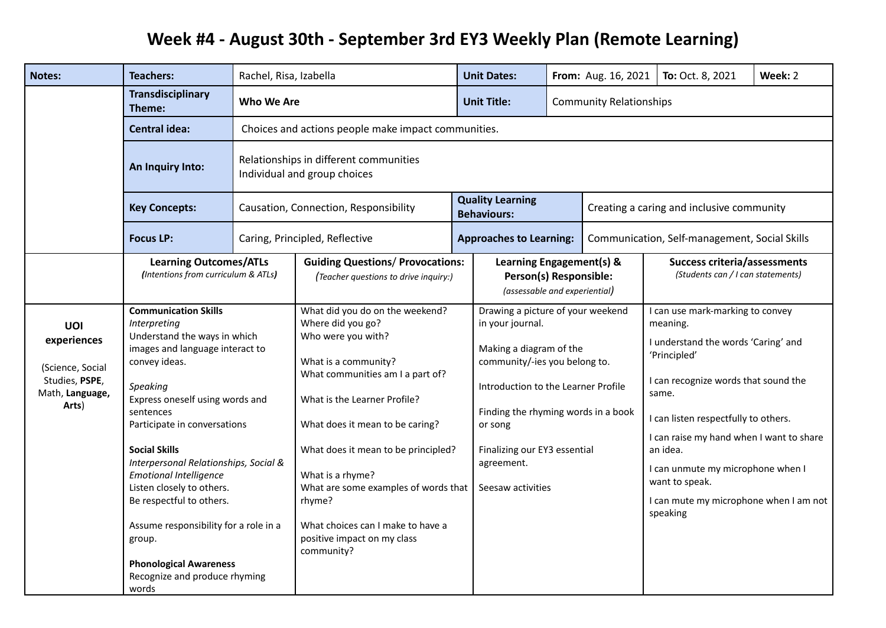## Week #4 - August 30th - September 3rd EY3 Weekly Plan (Remote Learning)

| <b>Notes:</b>                                                                               | <b>Teachers:</b>                                                                                                                                                                                                                                                                                                                                                                                                                                                                                                            | Rachel, Risa, Izabella                                                 |                                                                                                                                                                                                                                                                                                                                                                                                          |  | <b>Unit Dates:</b>                                                                                                                                                                                                                                                            |                                                                                     | From: Aug. 16, 2021                           | To: Oct. 8, 2021                                                                                                                                                                                                                                                                                                                                                  | Week: 2 |  |
|---------------------------------------------------------------------------------------------|-----------------------------------------------------------------------------------------------------------------------------------------------------------------------------------------------------------------------------------------------------------------------------------------------------------------------------------------------------------------------------------------------------------------------------------------------------------------------------------------------------------------------------|------------------------------------------------------------------------|----------------------------------------------------------------------------------------------------------------------------------------------------------------------------------------------------------------------------------------------------------------------------------------------------------------------------------------------------------------------------------------------------------|--|-------------------------------------------------------------------------------------------------------------------------------------------------------------------------------------------------------------------------------------------------------------------------------|-------------------------------------------------------------------------------------|-----------------------------------------------|-------------------------------------------------------------------------------------------------------------------------------------------------------------------------------------------------------------------------------------------------------------------------------------------------------------------------------------------------------------------|---------|--|
|                                                                                             | <b>Transdisciplinary</b><br>Theme:                                                                                                                                                                                                                                                                                                                                                                                                                                                                                          | Who We Are                                                             |                                                                                                                                                                                                                                                                                                                                                                                                          |  | <b>Unit Title:</b>                                                                                                                                                                                                                                                            | <b>Community Relationships</b>                                                      |                                               |                                                                                                                                                                                                                                                                                                                                                                   |         |  |
|                                                                                             | <b>Central idea:</b>                                                                                                                                                                                                                                                                                                                                                                                                                                                                                                        |                                                                        | Choices and actions people make impact communities.                                                                                                                                                                                                                                                                                                                                                      |  |                                                                                                                                                                                                                                                                               |                                                                                     |                                               |                                                                                                                                                                                                                                                                                                                                                                   |         |  |
|                                                                                             | An Inquiry Into:                                                                                                                                                                                                                                                                                                                                                                                                                                                                                                            | Relationships in different communities<br>Individual and group choices |                                                                                                                                                                                                                                                                                                                                                                                                          |  |                                                                                                                                                                                                                                                                               |                                                                                     |                                               |                                                                                                                                                                                                                                                                                                                                                                   |         |  |
|                                                                                             | <b>Key Concepts:</b>                                                                                                                                                                                                                                                                                                                                                                                                                                                                                                        |                                                                        | Causation, Connection, Responsibility                                                                                                                                                                                                                                                                                                                                                                    |  | <b>Quality Learning</b><br><b>Behaviours:</b>                                                                                                                                                                                                                                 |                                                                                     |                                               | Creating a caring and inclusive community                                                                                                                                                                                                                                                                                                                         |         |  |
|                                                                                             | <b>Focus LP:</b>                                                                                                                                                                                                                                                                                                                                                                                                                                                                                                            |                                                                        | Caring, Principled, Reflective                                                                                                                                                                                                                                                                                                                                                                           |  | <b>Approaches to Learning:</b>                                                                                                                                                                                                                                                |                                                                                     | Communication, Self-management, Social Skills |                                                                                                                                                                                                                                                                                                                                                                   |         |  |
|                                                                                             | <b>Learning Outcomes/ATLs</b><br>(Intentions from curriculum & ATLs)                                                                                                                                                                                                                                                                                                                                                                                                                                                        |                                                                        | <b>Guiding Questions/ Provocations:</b><br>(Teacher questions to drive inquiry:)                                                                                                                                                                                                                                                                                                                         |  |                                                                                                                                                                                                                                                                               | Learning Engagement(s) &<br>Person(s) Responsible:<br>(assessable and experiential) |                                               | <b>Success criteria/assessments</b><br>(Students can / I can statements)                                                                                                                                                                                                                                                                                          |         |  |
| <b>UOI</b><br>experiences<br>(Science, Social<br>Studies, PSPE,<br>Math, Language,<br>Arts) | <b>Communication Skills</b><br>Interpreting<br>Understand the ways in which<br>images and language interact to<br>convey ideas.<br><b>Speaking</b><br>Express oneself using words and<br>sentences<br>Participate in conversations<br><b>Social Skills</b><br>Interpersonal Relationships, Social &<br><b>Emotional Intelligence</b><br>Listen closely to others.<br>Be respectful to others.<br>Assume responsibility for a role in a<br>group.<br><b>Phonological Awareness</b><br>Recognize and produce rhyming<br>words |                                                                        | What did you do on the weekend?<br>Where did you go?<br>Who were you with?<br>What is a community?<br>What communities am I a part of?<br>What is the Learner Profile?<br>What does it mean to be caring?<br>What does it mean to be principled?<br>What is a rhyme?<br>What are some examples of words that<br>rhyme?<br>What choices can I make to have a<br>positive impact on my class<br>community? |  | Drawing a picture of your weekend<br>in your journal.<br>Making a diagram of the<br>community/-ies you belong to.<br>Introduction to the Learner Profile<br>Finding the rhyming words in a book<br>or song<br>Finalizing our EY3 essential<br>agreement.<br>Seesaw activities |                                                                                     |                                               | I can use mark-marking to convey<br>meaning.<br>I understand the words 'Caring' and<br>'Principled'<br>I can recognize words that sound the<br>same.<br>I can listen respectfully to others.<br>I can raise my hand when I want to share<br>an idea.<br>I can unmute my microphone when I<br>want to speak.<br>I can mute my microphone when I am not<br>speaking |         |  |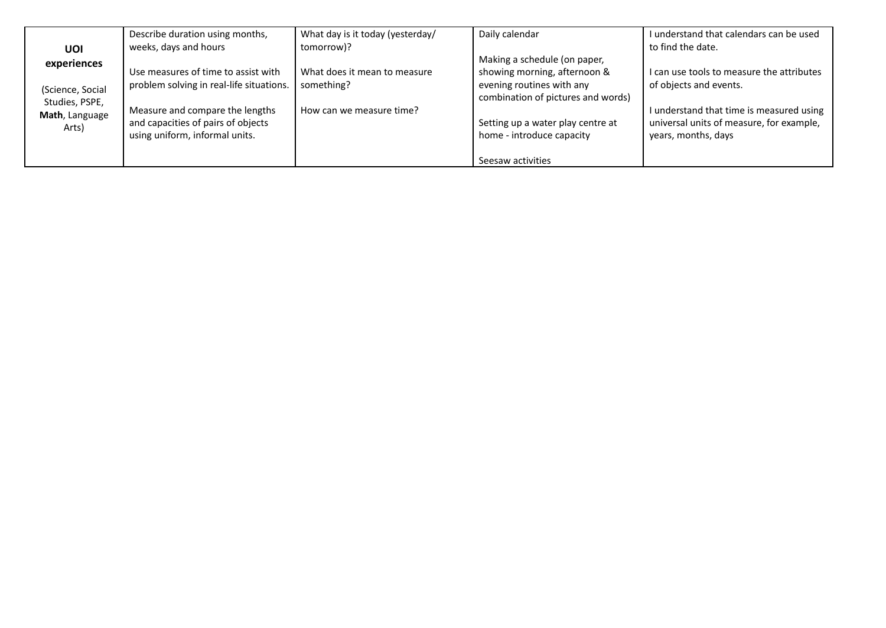|                                 | Describe duration using months,          | What day is it today (yesterday/ | Daily calendar                     | I understand that calendars can be used   |
|---------------------------------|------------------------------------------|----------------------------------|------------------------------------|-------------------------------------------|
| UOI                             | weeks, days and hours                    | tomorrow)?                       |                                    | to find the date.                         |
| experiences<br>(Science, Social |                                          |                                  | Making a schedule (on paper,       |                                           |
|                                 | Use measures of time to assist with      | What does it mean to measure     | showing morning, afternoon &       | I can use tools to measure the attributes |
|                                 | problem solving in real-life situations. | something?                       | evening routines with any          | of objects and events.                    |
| Studies, PSPE,                  |                                          |                                  | combination of pictures and words) |                                           |
| Math, Language                  | Measure and compare the lengths          | How can we measure time?         |                                    | I understand that time is measured using  |
| Arts)                           | and capacities of pairs of objects       |                                  | Setting up a water play centre at  | universal units of measure, for example,  |
|                                 | using uniform, informal units.           |                                  | home - introduce capacity          | years, months, days                       |
|                                 |                                          |                                  |                                    |                                           |
|                                 |                                          |                                  | Seesaw activities                  |                                           |